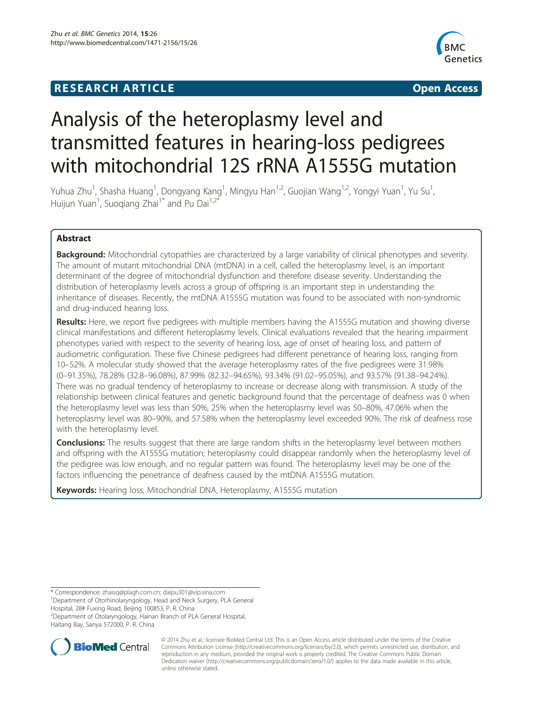# **RESEARCH ARTICLE Example 2014 The SEAR CH ACCESS**



# Analysis of the heteroplasmy level and transmitted features in hearing-loss pedigrees with mitochondrial 12S rRNA A1555G mutation

Yuhua Zhu<sup>1</sup>, Shasha Huang<sup>1</sup>, Dongyang Kang<sup>1</sup>, Mingyu Han<sup>1,2</sup>, Guojian Wang<sup>1,2</sup>, Yongyi Yuan<sup>1</sup>, Yu Su<sup>1</sup> , Huijun Yuan<sup>1</sup>, Suoqiang Zhai<sup>1\*</sup> and Pu Dai<sup>1,2\*</sup>

# Abstract

Background: Mitochondrial cytopathies are characterized by a large variability of clinical phenotypes and severity. The amount of mutant mitochondrial DNA (mtDNA) in a cell, called the heteroplasmy level, is an important determinant of the degree of mitochondrial dysfunction and therefore disease severity. Understanding the distribution of heteroplasmy levels across a group of offspring is an important step in understanding the inheritance of diseases. Recently, the mtDNA A1555G mutation was found to be associated with non-syndromic and drug-induced hearing loss.

Results: Here, we report five pedigrees with multiple members having the A1555G mutation and showing diverse clinical manifestations and different heteroplasmy levels. Clinical evaluations revealed that the hearing impairment phenotypes varied with respect to the severity of hearing loss, age of onset of hearing loss, and pattern of audiometric configuration. These five Chinese pedigrees had different penetrance of hearing loss, ranging from 10–52%. A molecular study showed that the average heteroplasmy rates of the five pedigrees were 31.98% (0–91.35%), 78.28% (32.8–96.08%), 87.99% (82.32–94.65%), 93.34% (91.02–95.05%), and 93.57% (91.38–94.24%). There was no gradual tendency of heteroplasmy to increase or decrease along with transmission. A study of the relationship between clinical features and genetic background found that the percentage of deafness was 0 when the heteroplasmy level was less than 50%, 25% when the heteroplasmy level was 50–80%, 47.06% when the heteroplasmy level was 80–90%, and 57.58% when the heteroplasmy level exceeded 90%. The risk of deafness rose with the heteroplasmy level.

**Conclusions:** The results suggest that there are large random shifts in the heteroplasmy level between mothers and offspring with the A1555G mutation; heteroplasmy could disappear randomly when the heteroplasmy level of the pedigree was low enough, and no regular pattern was found. The heteroplasmy level may be one of the factors influencing the penetrance of deafness caused by the mtDNA A1555G mutation.

Keywords: Hearing loss, Mitochondrial DNA, Heteroplasmy, A1555G mutation

\* Correspondence: [zhaisq@plagh.com.cn;](mailto:zhaisq@plagh.com.cn) [daipu301@vip.sina.com](mailto:daipu301@vip.sina.com) <sup>1</sup>

Department of Otorhinolaryngology, Head and Neck Surgery, PLA General

Hospital, 28# Fuxing Road, Beijing 100853, P. R. China

2 Department of Otolaryngology, Hainan Branch of PLA General Hospital, Haitang Bay, Sanya 572000, P. R. China



© 2014 Zhu et al.; licensee BioMed Central Ltd. This is an Open Access article distributed under the terms of the Creative Commons Attribution License [\(http://creativecommons.org/licenses/by/2.0\)](http://creativecommons.org/licenses/by/2.0), which permits unrestricted use, distribution, and reproduction in any medium, provided the original work is properly credited. The Creative Commons Public Domain Dedication waiver [\(http://creativecommons.org/publicdomain/zero/1.0/](http://creativecommons.org/publicdomain/zero/1.0/)) applies to the data made available in this article, unless otherwise stated.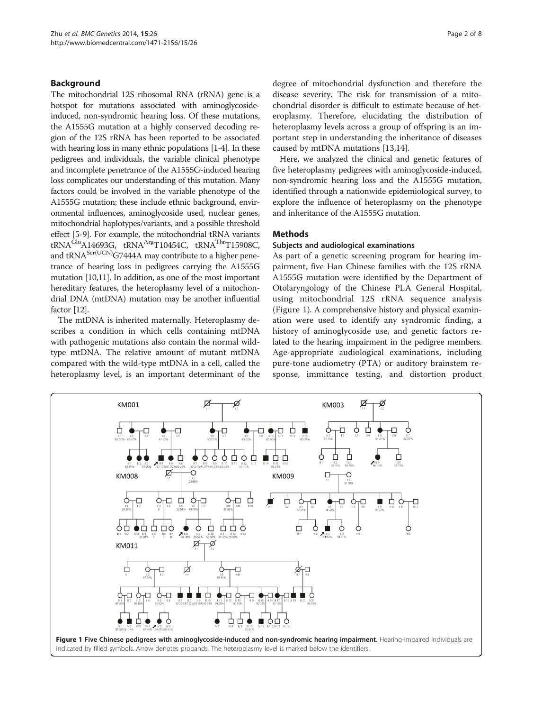# <span id="page-1-0"></span>Background

The mitochondrial 12S ribosomal RNA (rRNA) gene is a hotspot for mutations associated with aminoglycosideinduced, non-syndromic hearing loss. Of these mutations, the A1555G mutation at a highly conserved decoding region of the 12S rRNA has been reported to be associated with hearing loss in many ethnic populations [[1-4\]](#page-7-0). In these pedigrees and individuals, the variable clinical phenotype and incomplete penetrance of the A1555G-induced hearing loss complicates our understanding of this mutation. Many factors could be involved in the variable phenotype of the A1555G mutation; these include ethnic background, environmental influences, aminoglycoside used, nuclear genes, mitochondrial haplotypes/variants, and a possible threshold effect [\[5-9\]](#page-7-0). For example, the mitochondrial tRNA variants tRNA<sup>Glu</sup>A14693G, tRNA<sup>Arg</sup>T10454C, tRNA<sup>Thr</sup>T15908C, and  $tRNA<sup>Ser(UCN)</sup>G7444A$  may contribute to a higher penetrance of hearing loss in pedigrees carrying the A1555G mutation [\[10,11](#page-7-0)]. In addition, as one of the most important hereditary features, the heteroplasmy level of a mitochondrial DNA (mtDNA) mutation may be another influential factor [\[12](#page-7-0)].

The mtDNA is inherited maternally. Heteroplasmy describes a condition in which cells containing mtDNA with pathogenic mutations also contain the normal wildtype mtDNA. The relative amount of mutant mtDNA compared with the wild-type mtDNA in a cell, called the heteroplasmy level, is an important determinant of the degree of mitochondrial dysfunction and therefore the disease severity. The risk for transmission of a mitochondrial disorder is difficult to estimate because of heteroplasmy. Therefore, elucidating the distribution of heteroplasmy levels across a group of offspring is an important step in understanding the inheritance of diseases caused by mtDNA mutations [[13,14](#page-7-0)].

Here, we analyzed the clinical and genetic features of five heteroplasmy pedigrees with aminoglycoside-induced, non-syndromic hearing loss and the A1555G mutation, identified through a nationwide epidemiological survey, to explore the influence of heteroplasmy on the phenotype and inheritance of the A1555G mutation.

#### Methods

#### Subjects and audiological examinations

As part of a genetic screening program for hearing impairment, five Han Chinese families with the 12S rRNA A1555G mutation were identified by the Department of Otolaryngology of the Chinese PLA General Hospital, using mitochondrial 12S rRNA sequence analysis (Figure 1). A comprehensive history and physical examination were used to identify any syndromic finding, a history of aminoglycoside use, and genetic factors related to the hearing impairment in the pedigree members. Age-appropriate audiological examinations, including pure-tone audiometry (PTA) or auditory brainstem response, immittance testing, and distortion product

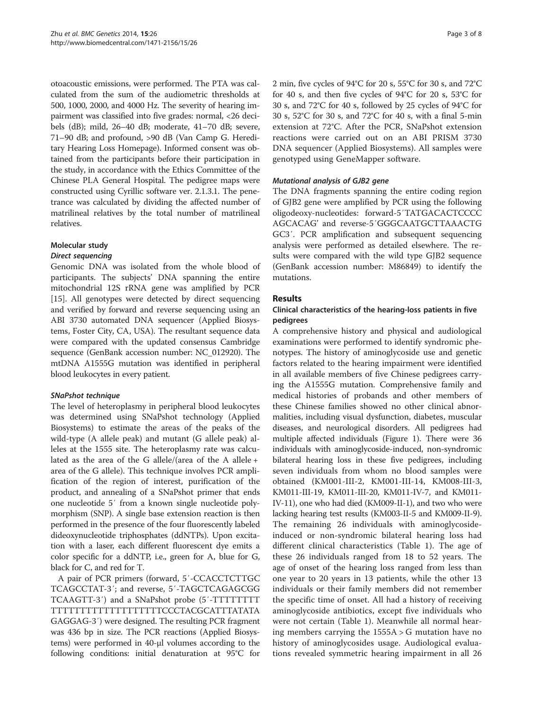otoacoustic emissions, were performed. The PTA was calculated from the sum of the audiometric thresholds at 500, 1000, 2000, and 4000 Hz. The severity of hearing impairment was classified into five grades: normal, <26 decibels (dB); mild, 26–40 dB; moderate, 41–70 dB; severe, 71–90 dB; and profound, >90 dB (Van Camp G. Hereditary Hearing Loss Homepage). Informed consent was obtained from the participants before their participation in the study, in accordance with the Ethics Committee of the Chinese PLA General Hospital. The pedigree maps were constructed using Cyrillic software ver. 2.1.3.1. The penetrance was calculated by dividing the affected number of matrilineal relatives by the total number of matrilineal relatives.

# Molecular study

Genomic DNA was isolated from the whole blood of participants. The subjects' DNA spanning the entire mitochondrial 12S rRNA gene was amplified by PCR [[15\]](#page-7-0). All genotypes were detected by direct sequencing and verified by forward and reverse sequencing using an ABI 3730 automated DNA sequencer (Applied Biosystems, Foster City, CA, USA). The resultant sequence data were compared with the updated consensus Cambridge sequence (GenBank accession number: NC\_012920). The mtDNA A1555G mutation was identified in peripheral blood leukocytes in every patient.

The level of heteroplasmy in peripheral blood leukocytes was determined using SNaPshot technology (Applied Biosystems) to estimate the areas of the peaks of the wild-type (A allele peak) and mutant (G allele peak) alleles at the 1555 site. The heteroplasmy rate was calculated as the area of the G allele/(area of the A allele + area of the G allele). This technique involves PCR amplification of the region of interest, purification of the product, and annealing of a SNaPshot primer that ends one nucleotide 5′ from a known single nucleotide polymorphism (SNP). A single base extension reaction is then performed in the presence of the four fluorescently labeled dideoxynucleotide triphosphates (ddNTPs). Upon excitation with a laser, each different fluorescent dye emits a color specific for a ddNTP, i.e., green for A, blue for G, black for C, and red for T.

A pair of PCR primers (forward, 5′-CCACCTCTTGC TCAGCCTAT-3′; and reverse, 5′-TAGCTCAGAGCGG TCAAGTT-3′) and a SNaPshot probe (5′-TTTTTTTT TTTTTTTTTTTTTTTTTTTCCCTACGCATTTATATA GAGGAG-3′) were designed. The resulting PCR fragment was 436 bp in size. The PCR reactions (Applied Biosystems) were performed in 40-μl volumes according to the following conditions: initial denaturation at 95°C for 2 min, five cycles of 94°C for 20 s, 55°C for 30 s, and 72°C for 40 s, and then five cycles of 94°C for 20 s, 53°C for 30 s, and 72°C for 40 s, followed by 25 cycles of 94°C for 30 s, 52°C for 30 s, and 72°C for 40 s, with a final 5-min extension at 72°C. After the PCR, SNaPshot extension reactions were carried out on an ABI PRISM 3730 DNA sequencer (Applied Biosystems). All samples were genotyped using GeneMapper software.

The DNA fragments spanning the entire coding region of GJB2 gene were amplified by PCR using the following oligodeoxy-nucleotides: forward-5′TATGACACTCCCC AGCACAG' and reverse-5′GGGCAATGCTTAAACTG GC3′. PCR amplification and subsequent sequencing analysis were performed as detailed elsewhere. The results were compared with the wild type GJB2 sequence (GenBank accession number: M86849) to identify the mutations.

# Results

# Clinical characteristics of the hearing-loss patients in five pedigrees

A comprehensive history and physical and audiological examinations were performed to identify syndromic phenotypes. The history of aminoglycoside use and genetic factors related to the hearing impairment were identified in all available members of five Chinese pedigrees carrying the A1555G mutation. Comprehensive family and medical histories of probands and other members of these Chinese families showed no other clinical abnormalities, including visual dysfunction, diabetes, muscular diseases, and neurological disorders. All pedigrees had multiple affected individuals (Figure [1\)](#page-1-0). There were 36 individuals with aminoglycoside-induced, non-syndromic bilateral hearing loss in these five pedigrees, including seven individuals from whom no blood samples were obtained (KM001-III-2, KM001-III-14, KM008-III-3, KM011-III-19, KM011-III-20, KM011-IV-7, and KM011- IV-11), one who had died (KM009-II-1), and two who were lacking hearing test results (KM003-II-5 and KM009-II-9). The remaining 26 individuals with aminoglycosideinduced or non-syndromic bilateral hearing loss had different clinical characteristics (Table [1\)](#page-3-0). The age of these 26 individuals ranged from 18 to 52 years. The age of onset of the hearing loss ranged from less than one year to 20 years in 13 patients, while the other 13 individuals or their family members did not remember the specific time of onset. All had a history of receiving aminoglycoside antibiotics, except five individuals who were not certain (Table [1](#page-3-0)). Meanwhile all normal hearing members carrying the 1555A > G mutation have no history of aminoglycosides usage. Audiological evaluations revealed symmetric hearing impairment in all 26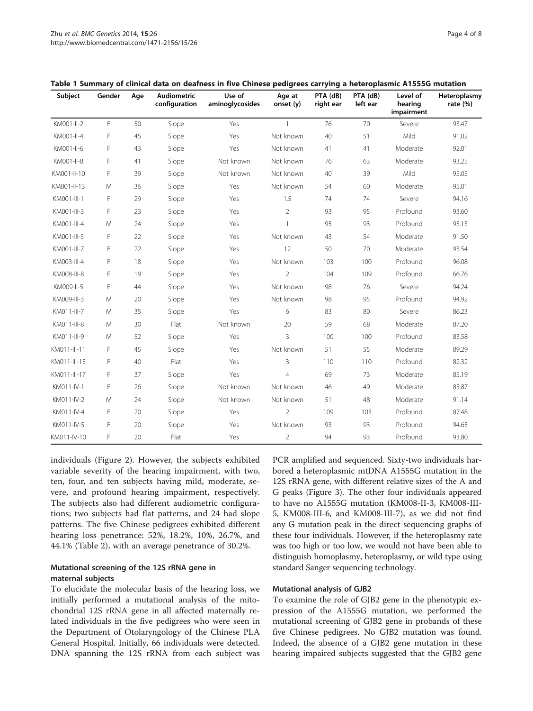| Subject      | Gender | Age | <b>Audiometric</b><br>configuration | Use of<br>aminoglycosides | Age at<br>onset (y) | ۔<br>PTA (dB)<br>right ear | PTA (dB)<br>left ear | Level of<br>hearing<br>impairment | Heteroplasmy<br>rate $(%)$ |
|--------------|--------|-----|-------------------------------------|---------------------------|---------------------|----------------------------|----------------------|-----------------------------------|----------------------------|
| KM001-II-2   | F.     | 50  | Slope                               | Yes                       | $\mathbf{1}$        | 76                         | 70                   | Severe                            | 93.47                      |
| KM001-II-4   | F      | 45  | Slope                               | Yes                       | Not known           | 40                         | 51                   | Mild                              | 91.02                      |
| KM001-II-6   | F      | 43  | Slope                               | Yes                       | Not known           | 41                         | 41                   | Moderate                          | 92.01                      |
| KM001-II-8   | F      | 41  | Slope                               | Not known                 | Not known           | 76                         | 63                   | Moderate                          | 93.25                      |
| KM001-II-10  | F      | 39  | Slope                               | Not known                 | Not known           | 40                         | 39                   | Mild                              | 95.05                      |
| KM001-II-13  | M      | 36  | Slope                               | Yes                       | Not known           | 54                         | 60                   | Moderate                          | 95.01                      |
| KM001-III-1  | F      | 29  | Slope                               | Yes                       | 1.5                 | 74                         | 74                   | Severe                            | 94.16                      |
| KM001-III-3  | F      | 23  | Slope                               | Yes                       | $\overline{2}$      | 93                         | 95                   | Profound                          | 93.60                      |
| KM001-III-4  | M      | 24  | Slope                               | Yes                       | $\mathbf{1}$        | 95                         | 93                   | Profound                          | 93.13                      |
| KM001-III-5  | F      | 22  | Slope                               | Yes                       | Not known           | 43                         | 54                   | Moderate                          | 91.50                      |
| KM001-III-7  | F      | 22  | Slope                               | Yes                       | 12                  | 50                         | 70                   | Moderate                          | 93.54                      |
| KM003-III-4  | F      | 18  | Slope                               | Yes                       | Not known           | 103                        | 100                  | Profound                          | 96.08                      |
| KM008-III-8  | F      | 19  | Slope                               | Yes                       | $\overline{2}$      | 104                        | 109                  | Profound                          | 66.76                      |
| KM009-II-5   | F      | 44  | Slope                               | Yes                       | Not known           | 98                         | 76                   | Severe                            | 94.24                      |
| KM009-III-3  | M      | 20  | Slope                               | Yes                       | Not known           | 98                         | 95                   | Profound                          | 94.92                      |
| KM011-III-7  | M      | 35  | Slope                               | Yes                       | 6                   | 83                         | 80                   | Severe                            | 86.23                      |
| KM011-III-8  | M      | 30  | Flat                                | Not known                 | 20                  | 59                         | 68                   | Moderate                          | 87.20                      |
| KM011-III-9  | M      | 52  | Slope                               | Yes                       | 3                   | 100                        | 100                  | Profound                          | 83.58                      |
| KM011-III-11 | F      | 45  | Slope                               | Yes                       | Not known           | 51                         | 55                   | Moderate                          | 89.29                      |
| KM011-III-15 | F      | 40  | Flat                                | Yes                       | 3                   | 110                        | 110                  | Profound                          | 82.32                      |
| KM011-III-17 | F      | 37  | Slope                               | Yes                       | $\overline{4}$      | 69                         | 73                   | Moderate                          | 85.19                      |
| KM011-IV-1   | F      | 26  | Slope                               | Not known                 | Not known           | 46                         | 49                   | Moderate                          | 85.87                      |
| KM011-IV-2   | M      | 24  | Slope                               | Not known                 | Not known           | 51                         | 48                   | Moderate                          | 91.14                      |
| KM011-IV-4   | F      | 20  | Slope                               | Yes                       | 2                   | 109                        | 103                  | Profound                          | 87.48                      |
| KM011-IV-5   | F      | 20  | Slope                               | Yes                       | Not known           | 93                         | 93                   | Profound                          | 94.65                      |
| KM011-IV-10  | F      | 20  | Flat                                | Yes                       | $\overline{2}$      | 94                         | 93                   | Profound                          | 93.80                      |

<span id="page-3-0"></span>

|  |  |  | Table 1 Summary of clinical data on deafness in five Chinese pedigrees carrying a heteroplasmic A1555G mutation |  |  |  |
|--|--|--|-----------------------------------------------------------------------------------------------------------------|--|--|--|
|--|--|--|-----------------------------------------------------------------------------------------------------------------|--|--|--|

individuals (Figure [2\)](#page-4-0). However, the subjects exhibited variable severity of the hearing impairment, with two, ten, four, and ten subjects having mild, moderate, severe, and profound hearing impairment, respectively. The subjects also had different audiometric configurations; two subjects had flat patterns, and 24 had slope patterns. The five Chinese pedigrees exhibited different hearing loss penetrance: 52%, 18.2%, 10%, 26.7%, and 44.1% (Table [2\)](#page-4-0), with an average penetrance of 30.2%.

# Mutational screening of the 12S rRNA gene in maternal subjects

To elucidate the molecular basis of the hearing loss, we initially performed a mutational analysis of the mitochondrial 12S rRNA gene in all affected maternally related individuals in the five pedigrees who were seen in the Department of Otolaryngology of the Chinese PLA General Hospital. Initially, 66 individuals were detected. DNA spanning the 12S rRNA from each subject was PCR amplified and sequenced. Sixty-two individuals harbored a heteroplasmic mtDNA A1555G mutation in the 12S rRNA gene, with different relative sizes of the A and G peaks (Figure [3](#page-5-0)). The other four individuals appeared to have no A1555G mutation (KM008-II-3, KM008-III-5, KM008-III-6, and KM008-III-7), as we did not find any G mutation peak in the direct sequencing graphs of these four individuals. However, if the heteroplasmy rate was too high or too low, we would not have been able to distinguish homoplasmy, heteroplasmy, or wild type using standard Sanger sequencing technology.

# Mutational analysis of GJB2

To examine the role of GJB2 gene in the phenotypic expression of the A1555G mutation, we performed the mutational screening of GJB2 gene in probands of these five Chinese pedigrees. No GJB2 mutation was found. Indeed, the absence of a GJB2 gene mutation in these hearing impaired subjects suggested that the GJB2 gene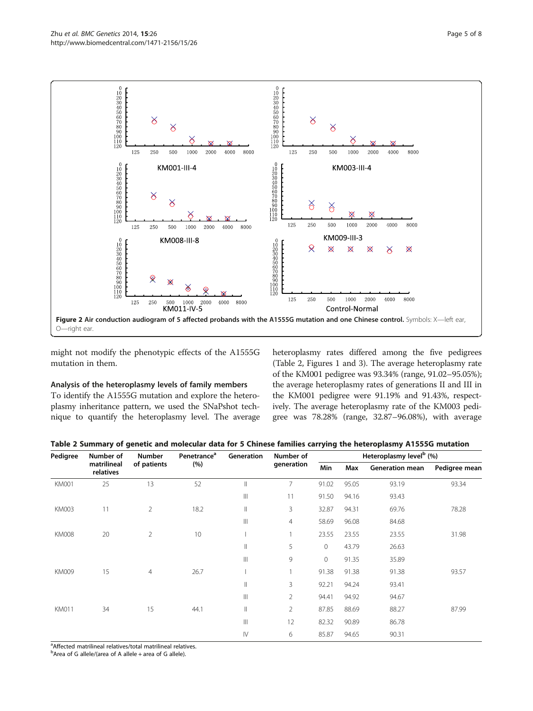<span id="page-4-0"></span>

might not modify the phenotypic effects of the A1555G mutation in them.

# Analysis of the heteroplasmy levels of family members

To identify the A1555G mutation and explore the heteroplasmy inheritance pattern, we used the SNaPshot technique to quantify the heteroplasmy level. The average heteroplasmy rates differed among the five pedigrees (Table 2, Figures [1](#page-1-0) and [3\)](#page-5-0). The average heteroplasmy rate of the KM001 pedigree was 93.34% (range, 91.02–95.05%); the average heteroplasmy rates of generations II and III in the KM001 pedigree were 91.19% and 91.43%, respectively. The average heteroplasmy rate of the KM003 pedigree was 78.28% (range, 32.87–96.08%), with average

| Table 2 Summary of genetic and molecular data for 5 Chinese families carrying the heteroplasmy A1555G mutation |  |
|----------------------------------------------------------------------------------------------------------------|--|
|----------------------------------------------------------------------------------------------------------------|--|

| Pedigree     | Number of                | Number<br>of patients | Penetrance <sup>a</sup><br>(%) | Generation             | Number of<br>generation | Heteroplasmy level <sup>b</sup> (%) |       |                        |               |
|--------------|--------------------------|-----------------------|--------------------------------|------------------------|-------------------------|-------------------------------------|-------|------------------------|---------------|
|              | matrilineal<br>relatives |                       |                                |                        |                         | Min                                 | Max   | <b>Generation mean</b> | Pedigree mean |
| <b>KM001</b> | 25                       | 13                    | 52                             | Ш                      | 7                       | 91.02                               | 95.05 | 93.19                  | 93.34         |
|              |                          |                       |                                | $\mathbb{H}$           | 11                      | 91.50                               | 94.16 | 93.43                  |               |
| KM003        | 11                       | $\overline{2}$        | 18.2                           | $\mathsf{I}$           | 3                       | 32.87                               | 94.31 | 69.76                  | 78.28         |
|              |                          |                       |                                | $\mathbb{H}$           | 4                       | 58.69                               | 96.08 | 84.68                  |               |
| <b>KM008</b> | 20                       | $\overline{2}$        | 10                             |                        | 1                       | 23.55                               | 23.55 | 23.55                  | 31.98         |
|              |                          |                       |                                | $\mathbb{I}$           | 5                       | $\mathbf{0}$                        | 43.79 | 26.63                  |               |
|              |                          |                       |                                | $\mathbb{H}$           | 9                       | $\mathbf{0}$                        | 91.35 | 35.89                  |               |
| <b>KM009</b> | 15                       | 4                     | 26.7                           |                        |                         | 91.38                               | 91.38 | 91.38                  | 93.57         |
|              |                          |                       |                                | Ш                      | 3                       | 92.21                               | 94.24 | 93.41                  |               |
|              |                          |                       |                                | $\  \ $                | $\overline{2}$          | 94.41                               | 94.92 | 94.67                  |               |
| <b>KM011</b> | 34                       | 15                    | 44.1                           | $\mathbb{I}$           | $\overline{2}$          | 87.85                               | 88.69 | 88.27                  | 87.99         |
|              |                          |                       |                                | $\  \cdot \ $          | 12                      | 82.32                               | 90.89 | 86.78                  |               |
|              |                          |                       |                                | $\mathsf{I}\mathsf{V}$ | 6                       | 85.87                               | 94.65 | 90.31                  |               |

<sup>a</sup>Affected matrilineal relatives/total matrilineal relatives.

<sup>b</sup>Area of G allele/(area of A allele + area of G allele).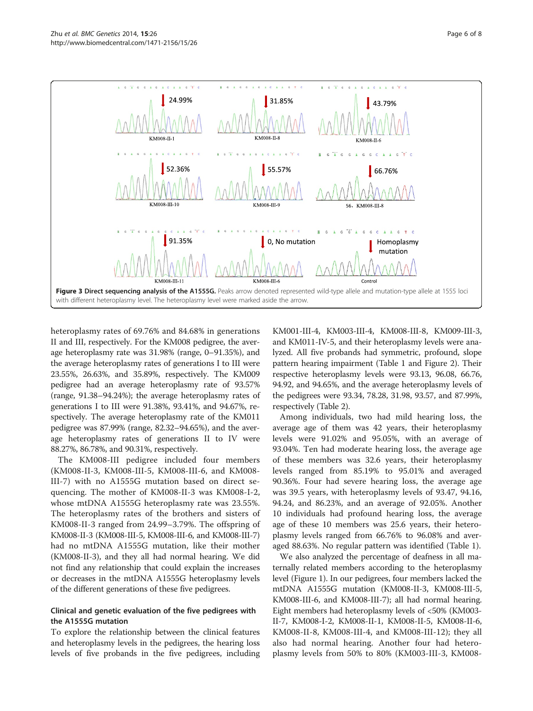<span id="page-5-0"></span>

heteroplasmy rates of 69.76% and 84.68% in generations II and III, respectively. For the KM008 pedigree, the average heteroplasmy rate was 31.98% (range, 0–91.35%), and the average heteroplasmy rates of generations I to III were 23.55%, 26.63%, and 35.89%, respectively. The KM009 pedigree had an average heteroplasmy rate of 93.57% (range, 91.38–94.24%); the average heteroplasmy rates of generations I to III were 91.38%, 93.41%, and 94.67%, respectively. The average heteroplasmy rate of the KM011 pedigree was 87.99% (range, 82.32–94.65%), and the average heteroplasmy rates of generations II to IV were 88.27%, 86.78%, and 90.31%, respectively.

The KM008-III pedigree included four members (KM008-II-3, KM008-III-5, KM008-III-6, and KM008- III-7) with no A1555G mutation based on direct sequencing. The mother of KM008-II-3 was KM008-I-2, whose mtDNA A1555G heteroplasmy rate was 23.55%. The heteroplasmy rates of the brothers and sisters of KM008-II-3 ranged from 24.99–3.79%. The offspring of KM008-II-3 (KM008-III-5, KM008-III-6, and KM008-III-7) had no mtDNA A1555G mutation, like their mother (KM008-II-3), and they all had normal hearing. We did not find any relationship that could explain the increases or decreases in the mtDNA A1555G heteroplasmy levels of the different generations of these five pedigrees.

# Clinical and genetic evaluation of the five pedigrees with the A1555G mutation

To explore the relationship between the clinical features and heteroplasmy levels in the pedigrees, the hearing loss levels of five probands in the five pedigrees, including

KM001-III-4, KM003-III-4, KM008-III-8, KM009-III-3, and KM011-IV-5, and their heteroplasmy levels were analyzed. All five probands had symmetric, profound, slope pattern hearing impairment (Table [1](#page-3-0) and Figure [2](#page-4-0)). Their respective heteroplasmy levels were 93.13, 96.08, 66.76, 94.92, and 94.65%, and the average heteroplasmy levels of the pedigrees were 93.34, 78.28, 31.98, 93.57, and 87.99%, respectively (Table [2](#page-4-0)).

Among individuals, two had mild hearing loss, the average age of them was 42 years, their heteroplasmy levels were 91.02% and 95.05%, with an average of 93.04%. Ten had moderate hearing loss, the average age of these members was 32.6 years, their heteroplasmy levels ranged from 85.19% to 95.01% and averaged 90.36%. Four had severe hearing loss, the average age was 39.5 years, with heteroplasmy levels of 93.47, 94.16, 94.24, and 86.23%, and an average of 92.05%. Another 10 individuals had profound hearing loss, the average age of these 10 members was 25.6 years, their heteroplasmy levels ranged from 66.76% to 96.08% and averaged 88.63%. No regular pattern was identified (Table [1](#page-3-0)).

We also analyzed the percentage of deafness in all maternally related members according to the heteroplasmy level (Figure [1](#page-1-0)). In our pedigrees, four members lacked the mtDNA A1555G mutation (KM008-II-3, KM008-III-5, KM008-III-6, and KM008-III-7); all had normal hearing. Eight members had heteroplasmy levels of <50% (KM003- II-7, KM008-I-2, KM008-II-1, KM008-II-5, KM008-II-6, KM008-II-8, KM008-III-4, and KM008-III-12); they all also had normal hearing. Another four had heteroplasmy levels from 50% to 80% (KM003-III-3, KM008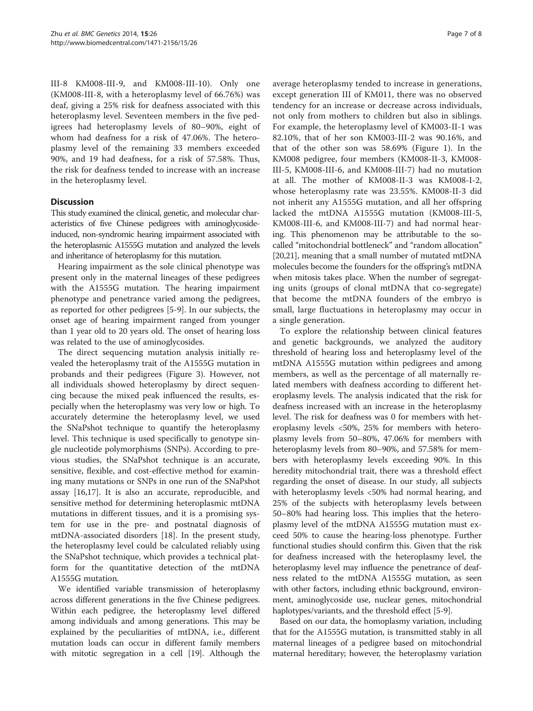III-8 KM008-III-9, and KM008-III-10). Only one (KM008-III-8, with a heteroplasmy level of 66.76%) was deaf, giving a 25% risk for deafness associated with this heteroplasmy level. Seventeen members in the five pedigrees had heteroplasmy levels of 80–90%, eight of whom had deafness for a risk of 47.06%. The heteroplasmy level of the remaining 33 members exceeded 90%, and 19 had deafness, for a risk of 57.58%. Thus, the risk for deafness tended to increase with an increase in the heteroplasmy level.

# **Discussion**

This study examined the clinical, genetic, and molecular characteristics of five Chinese pedigrees with aminoglycosideinduced, non-syndromic hearing impairment associated with the heteroplasmic A1555G mutation and analyzed the levels and inheritance of heteroplasmy for this mutation.

Hearing impairment as the sole clinical phenotype was present only in the maternal lineages of these pedigrees with the A1555G mutation. The hearing impairment phenotype and penetrance varied among the pedigrees, as reported for other pedigrees [\[5](#page-7-0)-[9\]](#page-7-0). In our subjects, the onset age of hearing impairment ranged from younger than 1 year old to 20 years old. The onset of hearing loss was related to the use of aminoglycosides.

The direct sequencing mutation analysis initially revealed the heteroplasmy trait of the A1555G mutation in probands and their pedigrees (Figure [3](#page-5-0)). However, not all individuals showed heteroplasmy by direct sequencing because the mixed peak influenced the results, especially when the heteroplasmy was very low or high. To accurately determine the heteroplasmy level, we used the SNaPshot technique to quantify the heteroplasmy level. This technique is used specifically to genotype single nucleotide polymorphisms (SNPs). According to previous studies, the SNaPshot technique is an accurate, sensitive, flexible, and cost-effective method for examining many mutations or SNPs in one run of the SNaPshot assay [[16](#page-7-0),[17](#page-7-0)]. It is also an accurate, reproducible, and sensitive method for determining heteroplasmic mtDNA mutations in different tissues, and it is a promising system for use in the pre- and postnatal diagnosis of mtDNA-associated disorders [\[18](#page-7-0)]. In the present study, the heteroplasmy level could be calculated reliably using the SNaPshot technique, which provides a technical platform for the quantitative detection of the mtDNA A1555G mutation.

We identified variable transmission of heteroplasmy across different generations in the five Chinese pedigrees. Within each pedigree, the heteroplasmy level differed among individuals and among generations. This may be explained by the peculiarities of mtDNA, i.e., different mutation loads can occur in different family members with mitotic segregation in a cell [\[19\]](#page-7-0). Although the

average heteroplasmy tended to increase in generations, except generation III of KM011, there was no observed tendency for an increase or decrease across individuals, not only from mothers to children but also in siblings. For example, the heteroplasmy level of KM003-II-1 was 82.10%, that of her son KM003-III-2 was 90.16%, and that of the other son was 58.69% (Figure [1\)](#page-1-0). In the KM008 pedigree, four members (KM008-II-3, KM008- III-5, KM008-III-6, and KM008-III-7) had no mutation at all. The mother of KM008-II-3 was KM008-I-2, whose heteroplasmy rate was 23.55%. KM008-II-3 did not inherit any A1555G mutation, and all her offspring lacked the mtDNA A1555G mutation (KM008-III-5, KM008-III-6, and KM008-III-7) and had normal hearing. This phenomenon may be attributable to the socalled "mitochondrial bottleneck" and "random allocation" [[20](#page-7-0),[21](#page-7-0)], meaning that a small number of mutated mtDNA molecules become the founders for the offspring's mtDNA when mitosis takes place. When the number of segregating units (groups of clonal mtDNA that co-segregate) that become the mtDNA founders of the embryo is small, large fluctuations in heteroplasmy may occur in a single generation.

To explore the relationship between clinical features and genetic backgrounds, we analyzed the auditory threshold of hearing loss and heteroplasmy level of the mtDNA A1555G mutation within pedigrees and among members, as well as the percentage of all maternally related members with deafness according to different heteroplasmy levels. The analysis indicated that the risk for deafness increased with an increase in the heteroplasmy level. The risk for deafness was 0 for members with heteroplasmy levels <50%, 25% for members with heteroplasmy levels from 50–80%, 47.06% for members with heteroplasmy levels from 80–90%, and 57.58% for members with heteroplasmy levels exceeding 90%. In this heredity mitochondrial trait, there was a threshold effect regarding the onset of disease. In our study, all subjects with heteroplasmy levels <50% had normal hearing, and 25% of the subjects with heteroplasmy levels between 50–80% had hearing loss. This implies that the heteroplasmy level of the mtDNA A1555G mutation must exceed 50% to cause the hearing-loss phenotype. Further functional studies should confirm this. Given that the risk for deafness increased with the heteroplasmy level, the heteroplasmy level may influence the penetrance of deafness related to the mtDNA A1555G mutation, as seen with other factors, including ethnic background, environment, aminoglycoside use, nuclear genes, mitochondrial haplotypes/variants, and the threshold effect [[5](#page-7-0)-[9\]](#page-7-0).

Based on our data, the homoplasmy variation, including that for the A1555G mutation, is transmitted stably in all maternal lineages of a pedigree based on mitochondrial maternal hereditary; however, the heteroplasmy variation